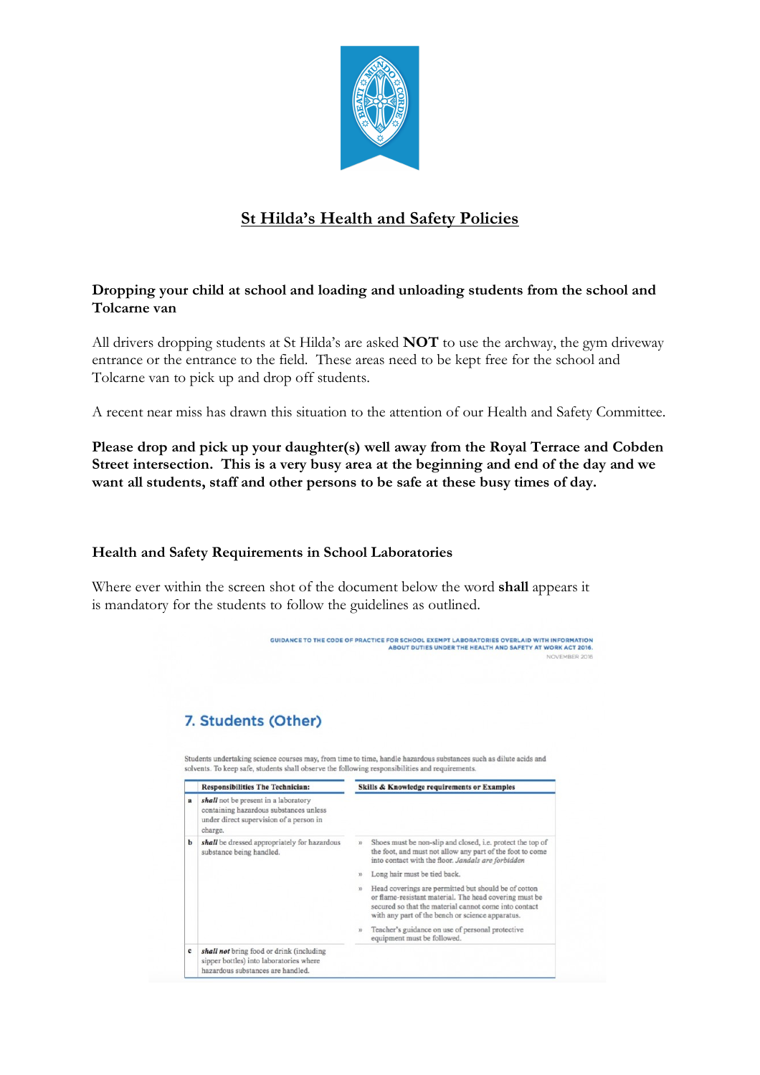

# **St Hilda's Health and Safety Policies**

## **Dropping your child at school and loading and unloading students from the school and Tolcarne van**

All drivers dropping students at St Hilda's are asked **NOT** to use the archway, the gym driveway entrance or the entrance to the field. These areas need to be kept free for the school and Tolcarne van to pick up and drop off students.

A recent near miss has drawn this situation to the attention of our Health and Safety Committee.

**Please drop and pick up your daughter(s) well away from the Royal Terrace and Cobden Street intersection. This is a very busy area at the beginning and end of the day and we want all students, staff and other persons to be safe at these busy times of day.**

## **Health and Safety Requirements in School Laboratories**

Where ever within the screen shot of the document below the word **shall** appears it is mandatory for the students to follow the guidelines as outlined.